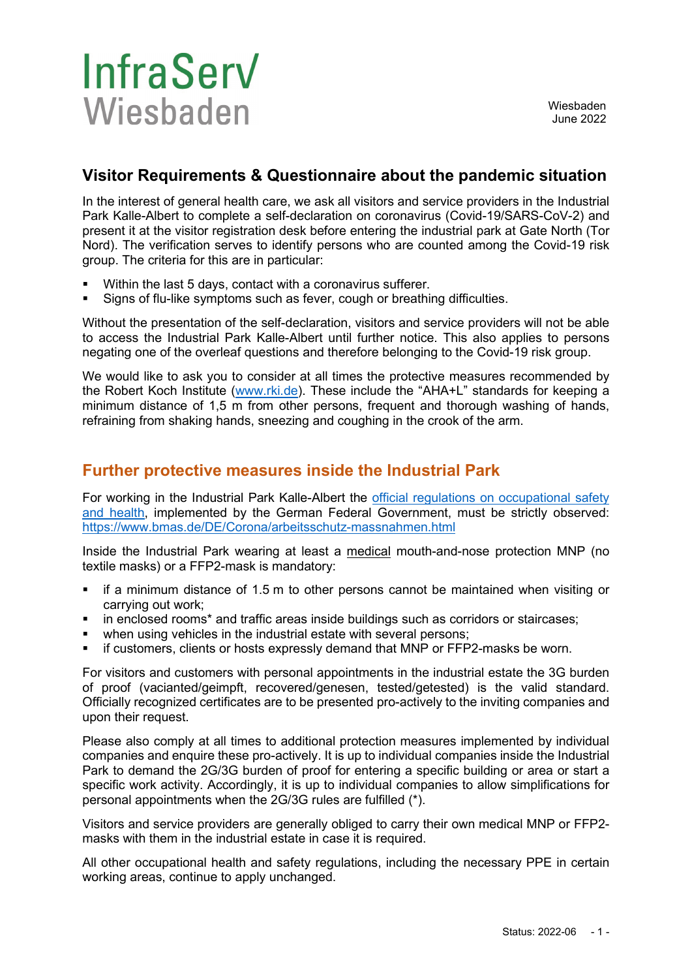## **InfraServ** Wiesbaden

## **Visitor Requirements & Questionnaire about the pandemic situation**

In the interest of general health care, we ask all visitors and service providers in the Industrial Park Kalle-Albert to complete a self-declaration on coronavirus (Covid-19/SARS-CoV-2) and present it at the visitor registration desk before entering the industrial park at Gate North (Tor Nord). The verification serves to identify persons who are counted among the Covid-19 risk group. The criteria for this are in particular:

- Within the last 5 days, contact with a coronavirus sufferer.
- Signs of flu-like symptoms such as fever, cough or breathing difficulties.

Without the presentation of the self-declaration, visitors and service providers will not be able to access the Industrial Park Kalle-Albert until further notice. This also applies to persons negating one of the overleaf questions and therefore belonging to the Covid-19 risk group.

We would like to ask you to consider at all times the protective measures recommended by the Robert Koch Institute [\(www.rki.de\)](http://www.rki.de/). These include the "AHA+L" standards for keeping a minimum distance of 1,5 m from other persons, frequent and thorough washing of hands, refraining from shaking hands, sneezing and coughing in the crook of the arm.

#### **Further protective measures inside the Industrial Park**

For working in the Industrial Park Kalle-Albert the official regulations on occupational safety [and health,](https://www.bmas.de/DE/Schwerpunkte/Informationen-Corona/Arbeitsschutz/arbeitsschutz.html) implemented by the German Federal Government, must be strictly observed: <https://www.bmas.de/DE/Corona/arbeitsschutz-massnahmen.html>

Inside the Industrial Park wearing at least a medical mouth-and-nose protection MNP (no textile masks) or a FFP2-mask is mandatory:

- if a minimum distance of 1.5 m to other persons cannot be maintained when visiting or carrying out work;
- in enclosed rooms\* and traffic areas inside buildings such as corridors or staircases;
- when using vehicles in the industrial estate with several persons;
- if customers, clients or hosts expressly demand that MNP or FFP2-masks be worn.

For visitors and customers with personal appointments in the industrial estate the 3G burden of proof (vacianted/geimpft, recovered/genesen, tested/getested) is the valid standard. Officially recognized certificates are to be presented pro-actively to the inviting companies and upon their request.

Please also comply at all times to additional protection measures implemented by individual companies and enquire these pro-actively. It is up to individual companies inside the Industrial Park to demand the 2G/3G burden of proof for entering a specific building or area or start a specific work activity. Accordingly, it is up to individual companies to allow simplifications for personal appointments when the 2G/3G rules are fulfilled (\*).

Visitors and service providers are generally obliged to carry their own medical MNP or FFP2 masks with them in the industrial estate in case it is required.

All other occupational health and safety regulations, including the necessary PPE in certain working areas, continue to apply unchanged.